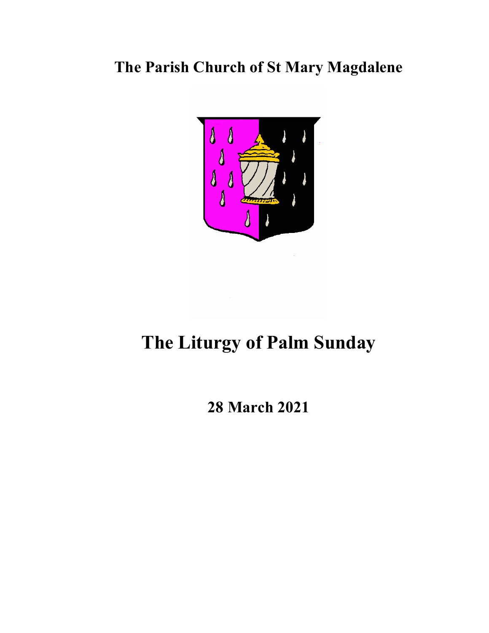## **The Parish Church of St Mary Magdalene**



# **The Liturgy of Palm Sunday**

### **28 March 2021**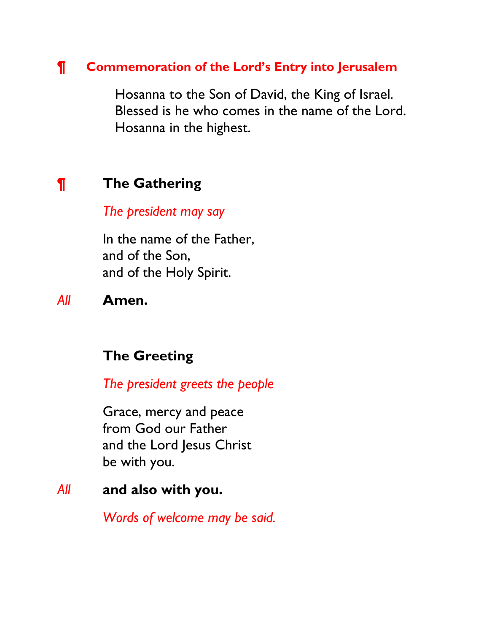#### **¶ Commemoration of the Lord's Entry into Jerusalem**

Hosanna to the Son of David, the King of Israel. Blessed is he who comes in the name of the Lord. Hosanna in the highest.

#### **¶ The Gathering**

*The president may say* 

In the name of the Father, and of the Son, and of the Holy Spirit.

*All* **Amen.**

#### **The Greeting**

*The president greets the people* 

Grace, mercy and peace from God our Father and the Lord Jesus Christ be with you.

#### *All* **and also with you.**

*Words of welcome may be said.*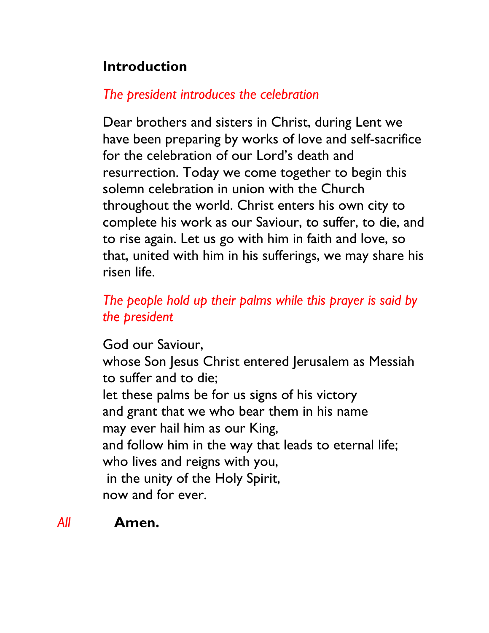### **Introduction**

### *The president introduces the celebration*

Dear brothers and sisters in Christ, during Lent we have been preparing by works of love and self-sacrifice for the celebration of our Lord's death and resurrection. Today we come together to begin this solemn celebration in union with the Church throughout the world. Christ enters his own city to complete his work as our Saviour, to suffer, to die, and to rise again. Let us go with him in faith and love, so that, united with him in his sufferings, we may share his risen life.

### *The people hold up their palms while this prayer is said by the president*

God our Saviour,

whose Son Jesus Christ entered Jerusalem as Messiah to suffer and to die;

let these palms be for us signs of his victory and grant that we who bear them in his name may ever hail him as our King, and follow him in the way that leads to eternal life; who lives and reigns with you, in the unity of the Holy Spirit, now and for ever.

#### *All* **Amen.**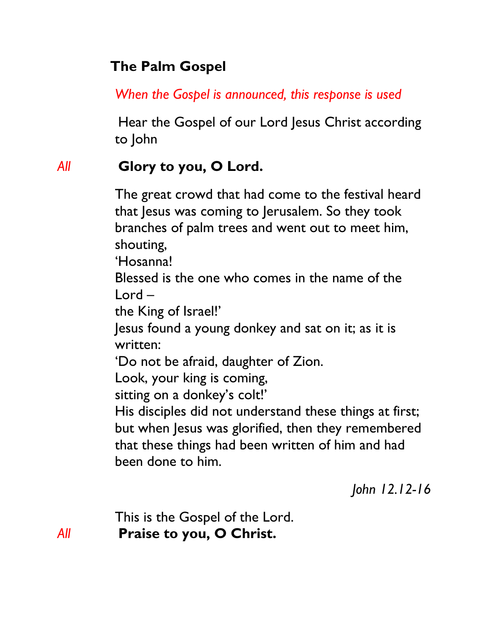### **The Palm Gospel**

*When the Gospel is announced, this response is used*

Hear the Gospel of our Lord Jesus Christ according to John

### *All* **Glory to you, O Lord.**

The great crowd that had come to the festival heard that Jesus was coming to Jerusalem. So they took branches of palm trees and went out to meet him, shouting,

'Hosanna!

Blessed is the one who comes in the name of the Lord –

the King of Israel!'

Jesus found a young donkey and sat on it; as it is written:

'Do not be afraid, daughter of Zion.

Look, your king is coming,

sitting on a donkey's colt!'

His disciples did not understand these things at first; but when Jesus was glorified, then they remembered that these things had been written of him and had been done to him.

*John 12.12-16*

This is the Gospel of the Lord. *All* **Praise to you, O Christ.**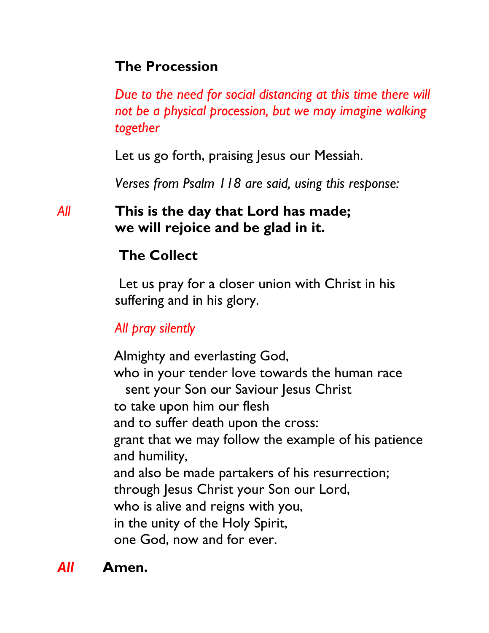### **The Procession**

*Due to the need for social distancing at this time there will not be a physical procession, but we may imagine walking together* 

Let us go forth, praising Jesus our Messiah.

*Verses from Psalm 118 are said, using this response:*

### *All* **This is the day that Lord has made; we will rejoice and be glad in it.**

### **The Collect**

Let us pray for a closer union with Christ in his suffering and in his glory.

### *All pray silently*

Almighty and everlasting God, who in your tender love towards the human race sent your Son our Saviour Jesus Christ to take upon him our flesh and to suffer death upon the cross: grant that we may follow the example of his patience and humility, and also be made partakers of his resurrection; through Jesus Christ your Son our Lord, who is alive and reigns with you, in the unity of the Holy Spirit, one God, now and for ever.

*All* **Amen.**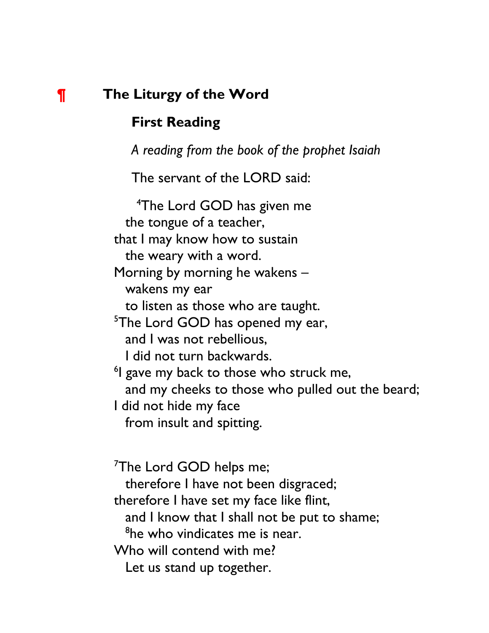#### **¶ The Liturgy of the Word**

#### **First Reading**

*A reading from the book of the prophet Isaiah*

The servant of the LORD said:

4 The Lord GOD has given me the tongue of a teacher, that I may know how to sustain the weary with a word. Morning by morning he wakens – wakens my ear to listen as those who are taught. <sup>5</sup>The Lord GOD has opened my ear, and I was not rebellious, I did not turn backwards. <sup>6</sup>I gave my back to those who struck me, and my cheeks to those who pulled out the beard; I did not hide my face from insult and spitting.

<sup>7</sup>The Lord GOD helps me; therefore I have not been disgraced; therefore I have set my face like flint, and I know that I shall not be put to shame; <sup>8</sup>he who vindicates me is near. Who will contend with me? Let us stand up together.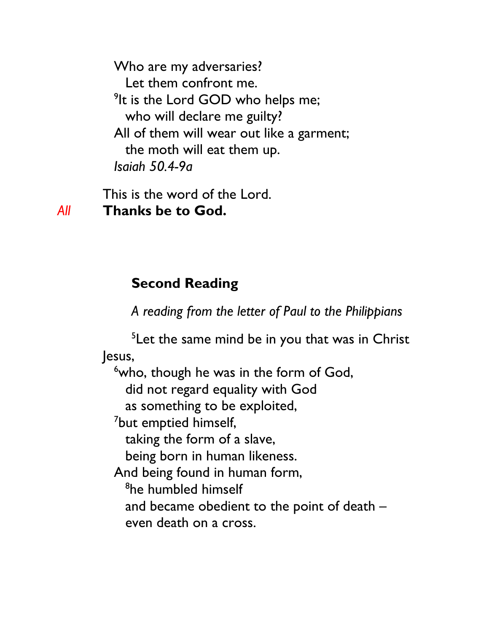Who are my adversaries? Let them confront me. <sup>9</sup>It is the Lord GOD who helps me; who will declare me guilty? All of them will wear out like a garment; the moth will eat them up. *Isaiah 50.4-9a*

This is the word of the Lord. *All* **Thanks be to God.**

#### **Second Reading**

*A reading from the letter of Paul to the Philippians*

 $5$ Let the same mind be in you that was in Christ Jesus,

<sup>6</sup>who, though he was in the form of God, did not regard equality with God as something to be exploited, <sup>7</sup>but emptied himself, taking the form of a slave, being born in human likeness. And being found in human form, <sup>8</sup>he humbled himself and became obedient to the point of death – even death on a cross.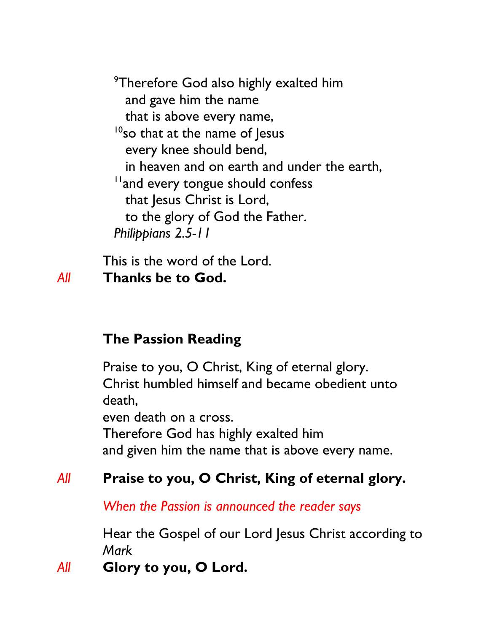<sup>9</sup>Therefore God also highly exalted him and gave him the name that is above every name,  $10$ so that at the name of Jesus every knee should bend, in heaven and on earth and under the earth, <sup>11</sup> and every tongue should confess that Jesus Christ is Lord, to the glory of God the Father. *Philippians 2.5-11*

This is the word of the Lord. *All* **Thanks be to God.**

#### **The Passion Reading**

Praise to you, O Christ, King of eternal glory. Christ humbled himself and became obedient unto death, even death on a cross. Therefore God has highly exalted him

and given him the name that is above every name.

#### *All* **Praise to you, O Christ, King of eternal glory.**

*When the Passion is announced the reader says* 

Hear the Gospel of our Lord Jesus Christ according to *Mark*

#### *All* **Glory to you, O Lord.**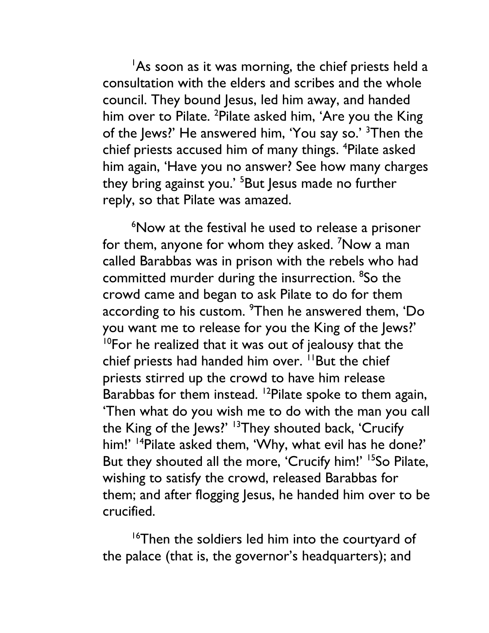As soon as it was morning, the chief priests held a consultation with the elders and scribes and the whole council. They bound Jesus, led him away, and handed him over to Pilate. <sup>2</sup>Pilate asked him, 'Are you the King of the Jews?' He answered him, 'You say so.' <sup>3</sup>Then the chief priests accused him of many things. <sup>4</sup>Pilate asked him again, 'Have you no answer? See how many charges they bring against you.<sup>' 5</sup>But Jesus made no further reply, so that Pilate was amazed.

6 Now at the festival he used to release a prisoner for them, anyone for whom they asked. <sup>7</sup>Now a man called Barabbas was in prison with the rebels who had committed murder during the insurrection. <sup>8</sup>So the crowd came and began to ask Pilate to do for them according to his custom.  $^9$ Then he answered them, 'Do you want me to release for you the King of the Jews?'  $10$ For he realized that it was out of jealousy that the chief priests had handed him over. <sup>11</sup>But the chief priests stirred up the crowd to have him release Barabbas for them instead. <sup>12</sup>Pilate spoke to them again, 'Then what do you wish me to do with the man you call the King of the Jews?' <sup>13</sup>They shouted back, 'Crucify him!' <sup>14</sup>Pilate asked them, 'Why, what evil has he done?' But they shouted all the more, 'Crucify him!' <sup>15</sup>So Pilate, wishing to satisfy the crowd, released Barabbas for them; and after flogging Jesus, he handed him over to be crucified.

<sup>16</sup>Then the soldiers led him into the courtyard of the palace (that is, the governor's headquarters); and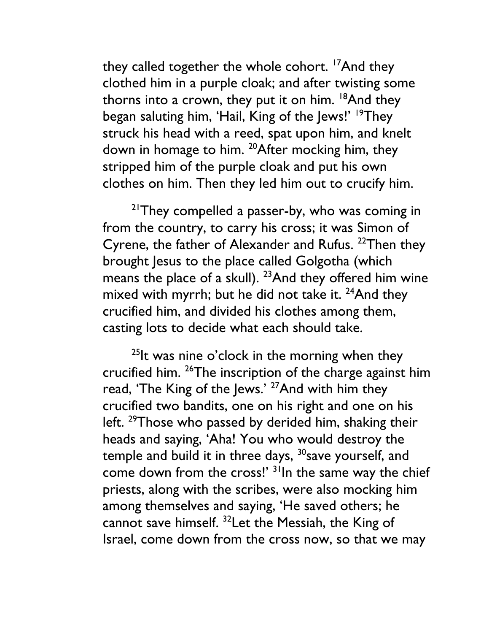they called together the whole cohort. <sup>17</sup>And they clothed him in a purple cloak; and after twisting some thorns into a crown, they put it on him.  $18$ And they began saluting him, 'Hail, King of the Jews!' <sup>19</sup>They struck his head with a reed, spat upon him, and knelt down in homage to him. <sup>20</sup>After mocking him, they stripped him of the purple cloak and put his own clothes on him. Then they led him out to crucify him.

 $2^{1}$ They compelled a passer-by, who was coming in from the country, to carry his cross; it was Simon of Cyrene, the father of Alexander and Rufus. <sup>22</sup>Then they brought Jesus to the place called Golgotha (which means the place of a skull).  $23$ And they offered him wine mixed with myrrh; but he did not take it. <sup>24</sup>And they crucified him, and divided his clothes among them, casting lots to decide what each should take.

 $25$ It was nine o'clock in the morning when they crucified him. 26The inscription of the charge against him read, 'The King of the Jews.' <sup>27</sup>And with him they crucified two bandits, one on his right and one on his left. <sup>29</sup>Those who passed by derided him, shaking their heads and saying, 'Aha! You who would destroy the temple and build it in three days,  $30$  save yourself, and come down from the cross!' <sup>31</sup>In the same way the chief priests, along with the scribes, were also mocking him among themselves and saying, 'He saved others; he cannot save himself. 32Let the Messiah, the King of Israel, come down from the cross now, so that we may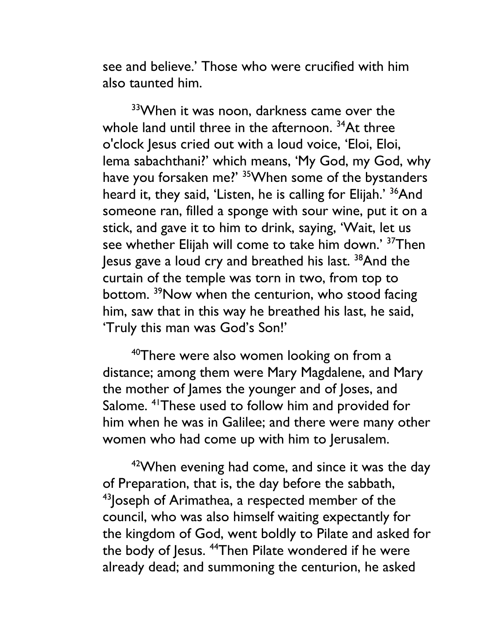see and believe.' Those who were crucified with him also taunted him.

33When it was noon, darkness came over the whole land until three in the afternoon. <sup>34</sup>At three o'clock Jesus cried out with a loud voice, 'Eloi, Eloi, lema sabachthani?' which means, 'My God, my God, why have you forsaken me?' <sup>35</sup>When some of the bystanders heard it, they said, 'Listen, he is calling for Elijah.' <sup>36</sup>And someone ran, filled a sponge with sour wine, put it on a stick, and gave it to him to drink, saying, 'Wait, let us see whether Elijah will come to take him down.' <sup>37</sup>Then Jesus gave a loud cry and breathed his last. 38And the curtain of the temple was torn in two, from top to bottom. <sup>39</sup>Now when the centurion, who stood facing him, saw that in this way he breathed his last, he said, 'Truly this man was God's Son!'

<sup>40</sup>There were also women looking on from a distance; among them were Mary Magdalene, and Mary the mother of James the younger and of Joses, and Salome. <sup>41</sup>These used to follow him and provided for him when he was in Galilee; and there were many other women who had come up with him to Jerusalem.

 $42$ When evening had come, and since it was the day of Preparation, that is, the day before the sabbath, <sup>43</sup> Joseph of Arimathea, a respected member of the council, who was also himself waiting expectantly for the kingdom of God, went boldly to Pilate and asked for the body of Jesus. <sup>44</sup>Then Pilate wondered if he were already dead; and summoning the centurion, he asked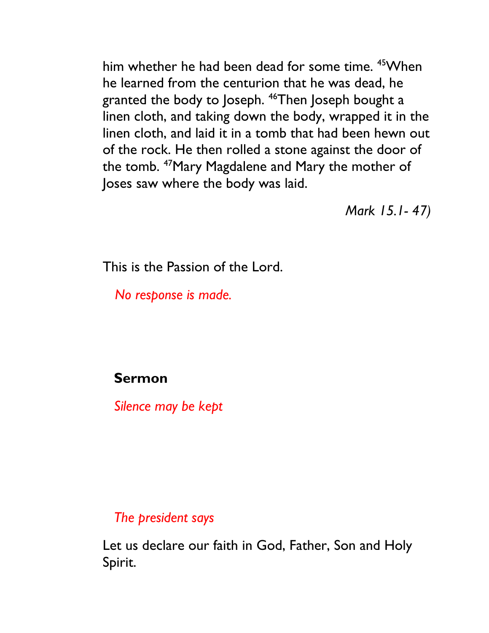him whether he had been dead for some time. <sup>45</sup> When he learned from the centurion that he was dead, he granted the body to Joseph. 46Then Joseph bought a linen cloth, and taking down the body, wrapped it in the linen cloth, and laid it in a tomb that had been hewn out of the rock. He then rolled a stone against the door of the tomb. 47Mary Magdalene and Mary the mother of Joses saw where the body was laid.

*Mark 15.1- 47)*

This is the Passion of the Lord.

*No response is made.*

**Sermon**

*Silence may be kept*

*The president says*

Let us declare our faith in God, Father, Son and Holy Spirit.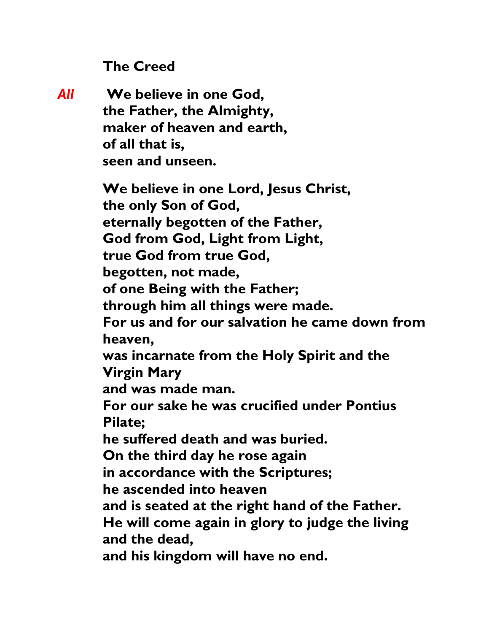**The Creed**

*All* **We believe in one God, the Father, the Almighty, maker of heaven and earth, of all that is, seen and unseen. We believe in one Lord, Jesus Christ, the only Son of God, eternally begotten of the Father, God from God, Light from Light, true God from true God, begotten, not made, of one Being with the Father; through him all things were made. For us and for our salvation he came down from heaven, was incarnate from the Holy Spirit and the Virgin Mary and was made man. For our sake he was crucified under Pontius Pilate; he suffered death and was buried. On the third day he rose again in accordance with the Scriptures; he ascended into heaven and is seated at the right hand of the Father. He will come again in glory to judge the living and the dead, and his kingdom will have no end.**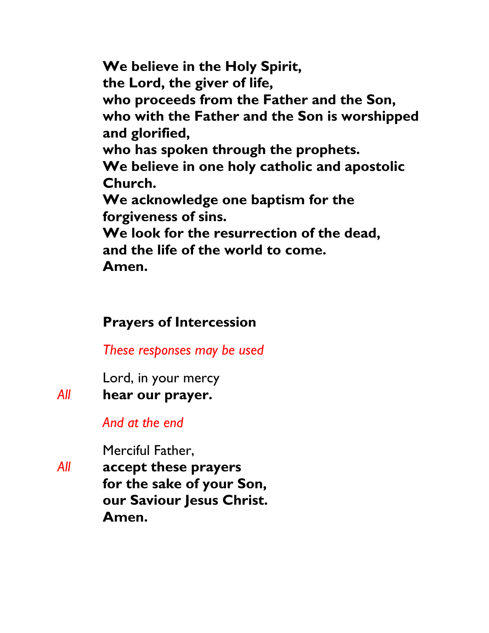**We believe in the Holy Spirit, the Lord, the giver of life, who proceeds from the Father and the Son, who with the Father and the Son is worshipped and glorified, who has spoken through the prophets. We believe in one holy catholic and apostolic Church. We acknowledge one baptism for the forgiveness of sins. We look for the resurrection of the dead, and the life of the world to come. Amen.** 

#### **Prayers of Intercession**

*These responses may be used*

Lord, in your mercy

*All* **hear our prayer.**

*And at the end*

Merciful Father,

*All* **accept these prayers for the sake of your Son, our Saviour Jesus Christ. Amen.**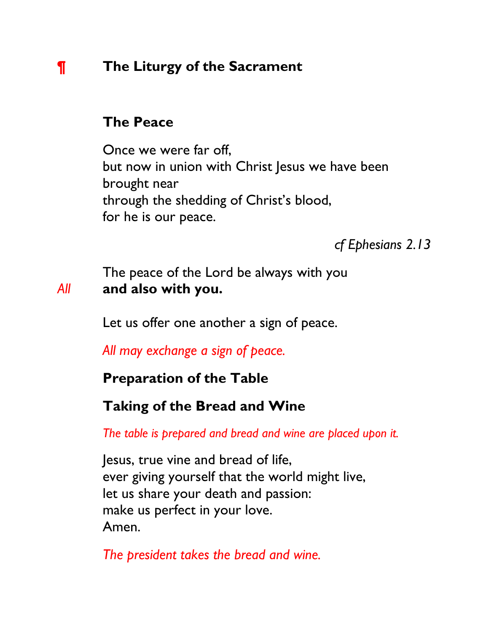### **¶ The Liturgy of the Sacrament**

#### **The Peace**

Once we were far off, but now in union with Christ Jesus we have been brought near through the shedding of Christ's blood, for he is our peace.

*cf Ephesians 2.13*

The peace of the Lord be always with you *All* **and also with you.**

Let us offer one another a sign of peace.

*All may exchange a sign of peace.*

#### **Preparation of the Table**

#### **Taking of the Bread and Wine**

*The table is prepared and bread and wine are placed upon it.* 

Jesus, true vine and bread of life, ever giving yourself that the world might live, let us share your death and passion: make us perfect in your love. Amen.

*The president takes the bread and wine.*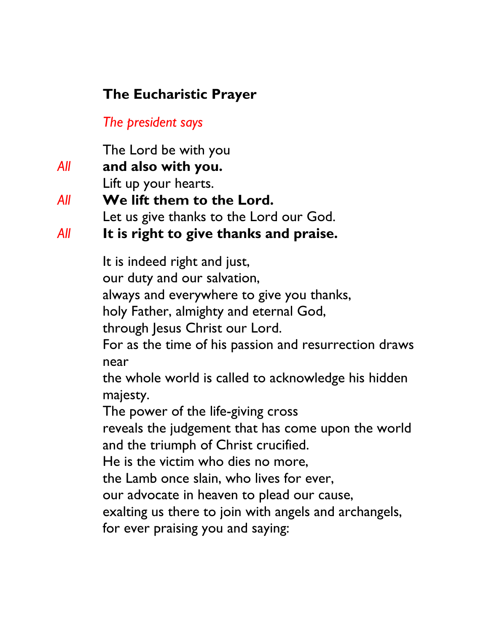### **The Eucharistic Prayer**

*The president says* 

The Lord be with you *All* **and also with you.** Lift up your hearts. *All* **We lift them to the Lord.** Let us give thanks to the Lord our God. *All* **It is right to give thanks and praise.** It is indeed right and just, our duty and our salvation, always and everywhere to give you thanks, holy Father, almighty and eternal God, through Jesus Christ our Lord. For as the time of his passion and resurrection draws near the whole world is called to acknowledge his hidden majesty. The power of the life-giving cross reveals the judgement that has come upon the world and the triumph of Christ crucified. He is the victim who dies no more, the Lamb once slain, who lives for ever, our advocate in heaven to plead our cause, exalting us there to join with angels and archangels,

for ever praising you and saying: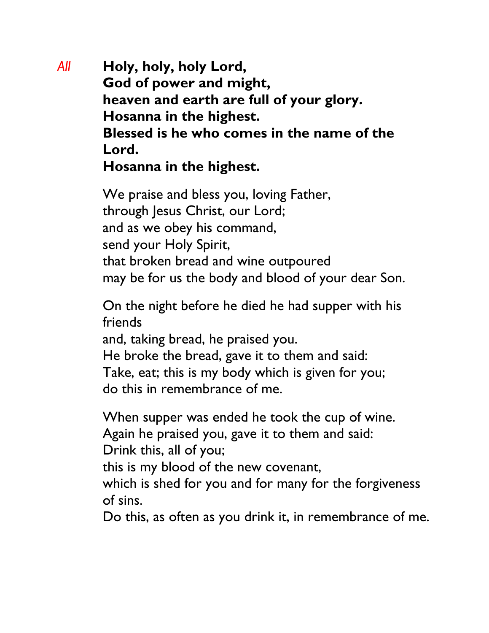*All* **Holy, holy, holy Lord, God of power and might, heaven and earth are full of your glory. Hosanna in the highest. Blessed is he who comes in the name of the Lord. Hosanna in the highest.**

> We praise and bless you, loving Father, through Jesus Christ, our Lord; and as we obey his command, send your Holy Spirit, that broken bread and wine outpoured may be for us the body and blood of your dear Son.

On the night before he died he had supper with his friends

and, taking bread, he praised you.

He broke the bread, gave it to them and said: Take, eat; this is my body which is given for you; do this in remembrance of me.

When supper was ended he took the cup of wine.

Again he praised you, gave it to them and said:

Drink this, all of you;

this is my blood of the new covenant,

which is shed for you and for many for the forgiveness of sins.

Do this, as often as you drink it, in remembrance of me.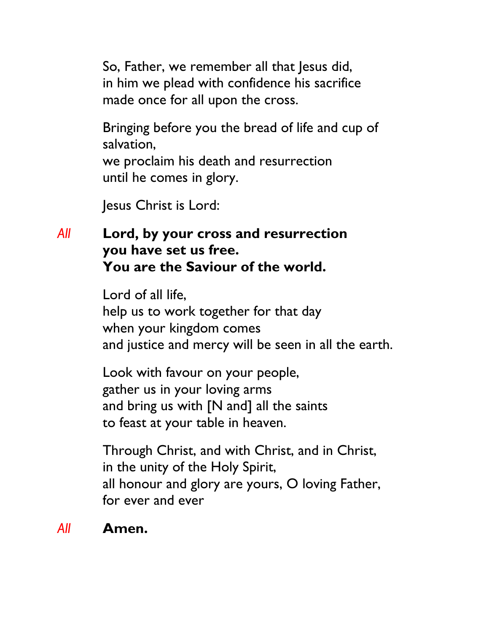So, Father, we remember all that Jesus did, in him we plead with confidence his sacrifice made once for all upon the cross.

Bringing before you the bread of life and cup of salvation, we proclaim his death and resurrection until he comes in glory.

Jesus Christ is Lord:

### *All* **Lord, by your cross and resurrection you have set us free. You are the Saviour of the world.**

Lord of all life, help us to work together for that day when your kingdom comes and justice and mercy will be seen in all the earth.

Look with favour on your people, gather us in your loving arms and bring us with [N and] all the saints to feast at your table in heaven.

Through Christ, and with Christ, and in Christ, in the unity of the Holy Spirit, all honour and glory are yours, O loving Father, for ever and ever

#### *All* **Amen.**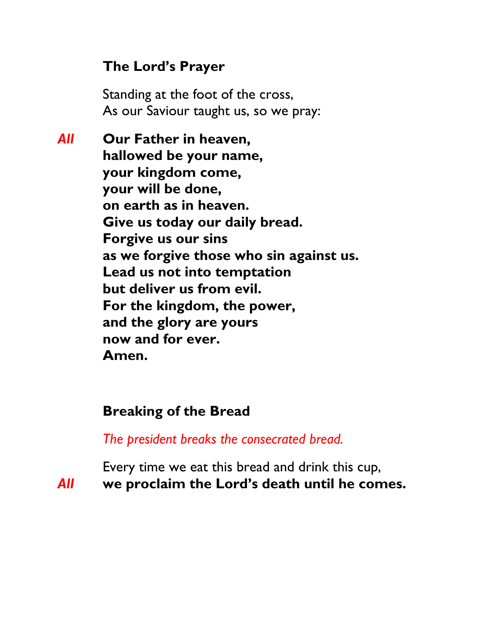### **The Lord's Prayer**

Standing at the foot of the cross, As our Saviour taught us, so we pray:

*All* **Our Father in heaven, hallowed be your name, your kingdom come, your will be done, on earth as in heaven. Give us today our daily bread. Forgive us our sins as we forgive those who sin against us. Lead us not into temptation but deliver us from evil. For the kingdom, the power, and the glory are yours now and for ever. Amen.**

### **Breaking of the Bread**

*The president breaks the consecrated bread.* 

Every time we eat this bread and drink this cup, *All* **we proclaim the Lord's death until he comes.**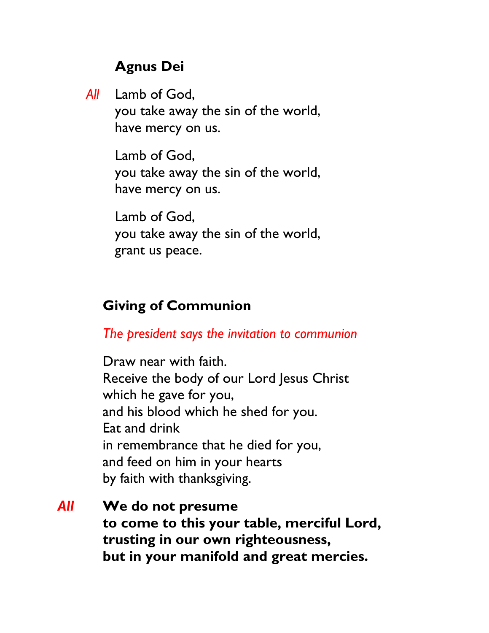### **Agnus Dei**

*All* Lamb of God, you take away the sin of the world, have mercy on us.

> Lamb of God, you take away the sin of the world, have mercy on us.

> Lamb of God, you take away the sin of the world, grant us peace.

### **Giving of Communion**

*The president says the invitation to communion* 

Draw near with faith. Receive the body of our Lord Jesus Christ which he gave for you, and his blood which he shed for you. Eat and drink in remembrance that he died for you, and feed on him in your hearts by faith with thanksgiving.

*All* **We do not presume to come to this your table, merciful Lord, trusting in our own righteousness, but in your manifold and great mercies.**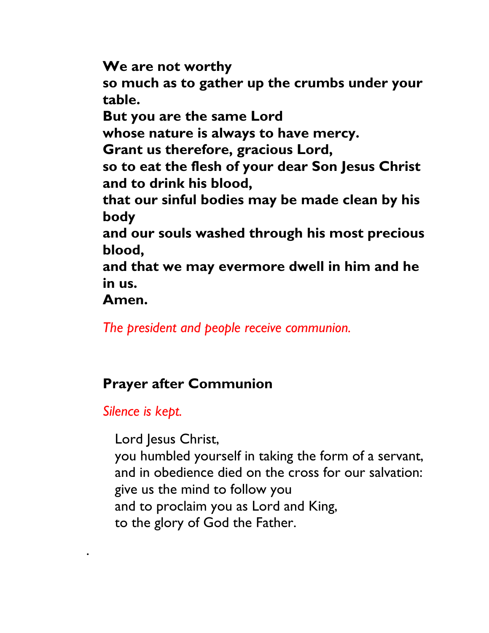**We are not worthy so much as to gather up the crumbs under your table. But you are the same Lord whose nature is always to have mercy. Grant us therefore, gracious Lord, so to eat the flesh of your dear Son Jesus Christ and to drink his blood, that our sinful bodies may be made clean by his body and our souls washed through his most precious blood, and that we may evermore dwell in him and he in us. Amen.**

*The president and people receive communion.* 

### **Prayer after Communion**

*Silence is kept.*

.

Lord Jesus Christ, you humbled yourself in taking the form of a servant, and in obedience died on the cross for our salvation: give us the mind to follow you and to proclaim you as Lord and King, to the glory of God the Father.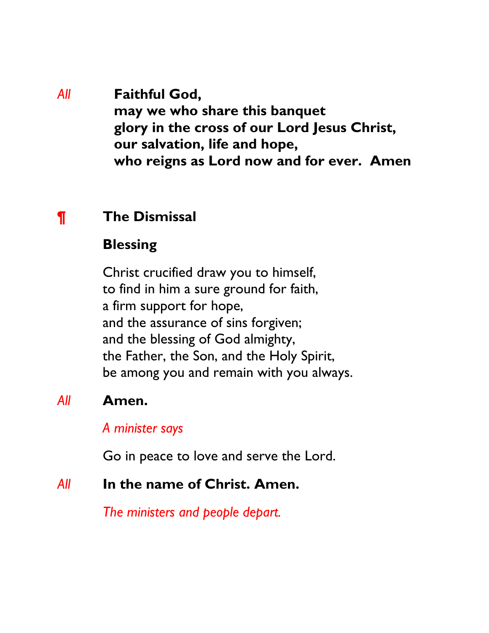*All* **Faithful God, may we who share this banquet glory in the cross of our Lord Jesus Christ, our salvation, life and hope, who reigns as Lord now and for ever. Amen**

### **¶ The Dismissal**

#### **Blessing**

Christ crucified draw you to himself, to find in him a sure ground for faith, a firm support for hope, and the assurance of sins forgiven; and the blessing of God almighty, the Father, the Son, and the Holy Spirit, be among you and remain with you always.

### *All* **Amen.**

#### *A minister says*

Go in peace to love and serve the Lord.

#### *All* **In the name of Christ. Amen.**

*The ministers and people depart.*